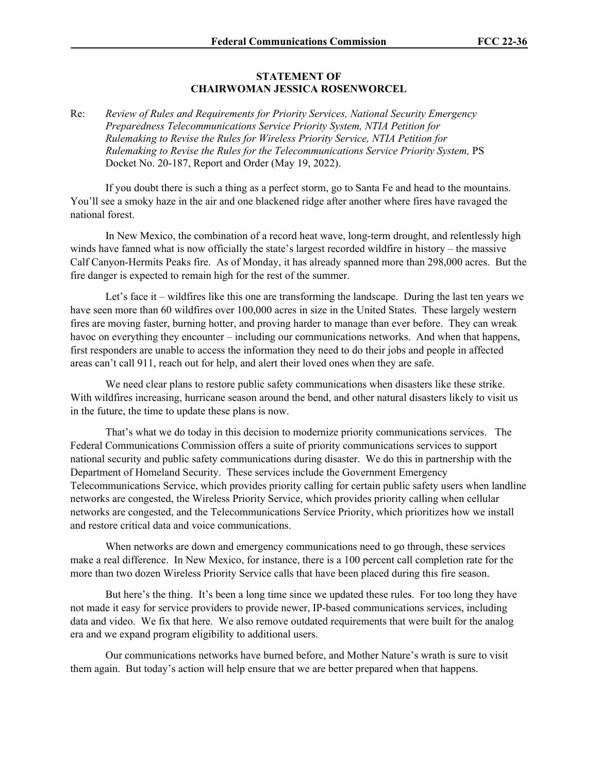## **STATEMENT OF CHAIRWOMAN JESSICA ROSENWORCEL**

Re: *Review of Rules and Requirements for Priority Services, National Security Emergency Preparedness Telecommunications Service Priority System, NTIA Petition for Rulemaking to Revise the Rules for Wireless Priority Service, NTIA Petition for Rulemaking to Revise the Rules for the Telecommunications Service Priority System,* PS Docket No. 20-187, Report and Order (May 19, 2022).

If you doubt there is such a thing as a perfect storm, go to Santa Fe and head to the mountains. You'll see a smoky haze in the air and one blackened ridge after another where fires have ravaged the national forest.

In New Mexico, the combination of a record heat wave, long-term drought, and relentlessly high winds have fanned what is now officially the state's largest recorded wildfire in history – the massive Calf Canyon-Hermits Peaks fire. As of Monday, it has already spanned more than 298,000 acres. But the fire danger is expected to remain high for the rest of the summer.

Let's face it – wildfires like this one are transforming the landscape. During the last ten years we have seen more than 60 wildfires over 100,000 acres in size in the United States. These largely western fires are moving faster, burning hotter, and proving harder to manage than ever before. They can wreak havoc on everything they encounter – including our communications networks. And when that happens, first responders are unable to access the information they need to do their jobs and people in affected areas can't call 911, reach out for help, and alert their loved ones when they are safe.

We need clear plans to restore public safety communications when disasters like these strike. With wildfires increasing, hurricane season around the bend, and other natural disasters likely to visit us in the future, the time to update these plans is now.

That's what we do today in this decision to modernize priority communications services. The Federal Communications Commission offers a suite of priority communications services to support national security and public safety communications during disaster. We do this in partnership with the Department of Homeland Security. These services include the Government Emergency Telecommunications Service, which provides priority calling for certain public safety users when landline networks are congested, the Wireless Priority Service, which provides priority calling when cellular networks are congested, and the Telecommunications Service Priority, which prioritizes how we install and restore critical data and voice communications.

When networks are down and emergency communications need to go through, these services make a real difference. In New Mexico, for instance, there is a 100 percent call completion rate for the more than two dozen Wireless Priority Service calls that have been placed during this fire season.

But here's the thing. It's been a long time since we updated these rules. For too long they have not made it easy for service providers to provide newer, IP-based communications services, including data and video. We fix that here. We also remove outdated requirements that were built for the analog era and we expand program eligibility to additional users.

Our communications networks have burned before, and Mother Nature's wrath is sure to visit them again. But today's action will help ensure that we are better prepared when that happens.